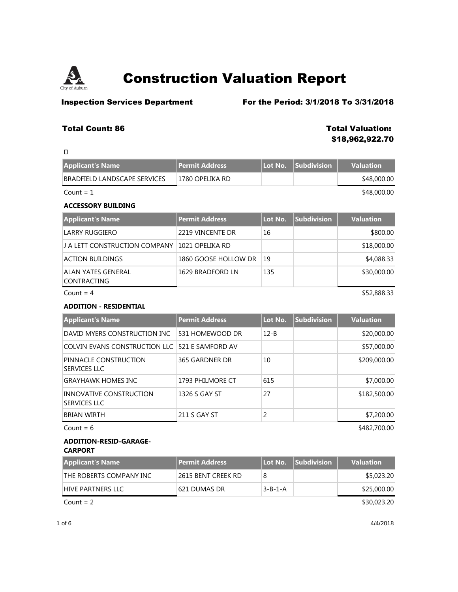

 $\Box$ 

## **Construction Valuation Report**

**Inspection Services Department** For the Period: 3/1/2018 To 3/31/2018

### **Total Count: 86 Total Valuation:**

## **\$18,962,922.70**

| <b>Applicant's Name</b>      | <b>Permit Address</b> | Lot No. Subdivision | <b>Valuation</b> |
|------------------------------|-----------------------|---------------------|------------------|
| BRADFIELD LANDSCAPE SERVICES | 1780 OPELIKA RD       |                     | \$48,000.00      |
| $Count = 1$                  |                       |                     | \$48,000.00      |

### **ACCESSORY BUILDING**

| <b>Applicant's Name</b>            | Permit Address       | Lot No.       | <b>Subdivision</b> | <b>Valuation</b> |
|------------------------------------|----------------------|---------------|--------------------|------------------|
| LARRY RUGGIERO                     | 2219 VINCENTE DR     | 16            |                    | \$800.00         |
| LI A LETT CONSTRUCTION COMPANY     | 1021 OPELIKA RD      |               |                    | \$18,000.00      |
| ACTION BUILDINGS                   | 1860 GOOSE HOLLOW DR | <sup>19</sup> |                    | \$4,088.33       |
| ALAN YATES GENERAL<br> CONTRACTING | 1629 BRADFORD LN     | 135           |                    | \$30,000.00      |
| Count = $4$                        |                      |               |                    | \$52,888.33      |

#### **ADDITION - RESIDENTIAL**

| <b>Applicant's Name</b>                               | <b>Permit Address</b> | Lot No.  | <b>Subdivision</b> | <b>Valuation</b> |
|-------------------------------------------------------|-----------------------|----------|--------------------|------------------|
| DAVID MYERS CONSTRUCTION INC                          | 531 HOMEWOOD DR       | $12 - B$ |                    | \$20,000.00      |
| COLVIN EVANS CONSTRUCTION LLC 1521 E SAMFORD AV       |                       |          |                    | \$57,000.00      |
| PINNACLE CONSTRUCTION<br><b>SERVICES LLC</b>          | 365 GARDNER DR        | 10       |                    | \$209,000.00     |
| <b>GRAYHAWK HOMES INC</b>                             | 1793 PHILMORE CT      | 615      |                    | \$7,000.00       |
| <b>INNOVATIVE CONSTRUCTION</b><br><b>SERVICES LLC</b> | 1326 S GAY ST         | 27       |                    | \$182,500.00     |
| <b>BRIAN WIRTH</b>                                    | 211 S GAY ST          | 2        |                    | \$7,200.00       |
| Count = $6$                                           |                       |          |                    | \$482,700.00     |

#### **ADDITION-RESID-GARAGE-CARPORT**

| Applicant's Name        | <b>Permit Address</b> |                 | <b>Lot No. Subdivision</b> | <b>Valuation</b> |
|-------------------------|-----------------------|-----------------|----------------------------|------------------|
| THE ROBERTS COMPANY INC | 2615 BENT CREEK RD    |                 |                            | \$5,023.20       |
| HIVE PARTNERS LLC       | 1621 DUMAS DR         | $3 - B - 1 - A$ |                            | \$25,000.00      |
|                         |                       |                 |                            |                  |

 $Count = 2$  \$30,023.20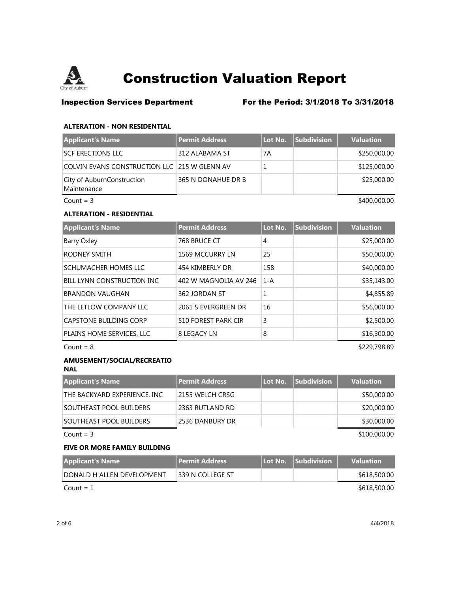

### **Inspection Services Department** For the Period: 3/1/2018 To 3/31/2018

#### **ALTERATION - NON RESIDENTIAL**

| <b>Applicant's Name</b>                       | Permit Address     | Lot No. | <b>Subdivision</b> | <b>Valuation</b> |
|-----------------------------------------------|--------------------|---------|--------------------|------------------|
| <b>SCF ERECTIONS LLC</b>                      | 312 ALABAMA ST     | 7A      |                    | \$250,000.00     |
| COLVIN EVANS CONSTRUCTION LLC 1215 W GLENN AV |                    |         |                    | \$125,000.00     |
| City of AuburnConstruction<br>Maintenance     | 365 N DONAHUE DR B |         |                    | \$25,000.00      |
| Count = $3$                                   |                    |         |                    | \$400,000.00     |

#### **ALTERATION - RESIDENTIAL**

| <b>Applicant's Name</b>           | <b>Permit Address</b> | Lot No. | Subdivision | <b>Valuation</b> |
|-----------------------------------|-----------------------|---------|-------------|------------------|
| Barry Oxley                       | 768 BRUCE CT          | 4       |             | \$25,000.00      |
| <b>RODNEY SMITH</b>               | 1569 MCCURRY LN       | 25      |             | \$50,000.00      |
| SCHUMACHER HOMES LLC              | 454 KIMBERLY DR       | 158     |             | \$40,000.00      |
| <b>BILL LYNN CONSTRUCTION INC</b> | 402 W MAGNOLIA AV 246 | $1-A$   |             | \$35,143.00      |
| <b>BRANDON VAUGHAN</b>            | 362 JORDAN ST         |         |             | \$4,855.89       |
| THE LETLOW COMPANY LLC            | 2061 S EVERGREEN DR   | 16      |             | \$56,000.00      |
| CAPSTONE BUILDING CORP            | 510 FOREST PARK CIR   | 3       |             | \$2,500.00       |
| PLAINS HOME SERVICES, LLC         | 8 LEGACY LN           | 8       |             | \$16,300.00      |

 $Count = 8$  \$229,798.89

### **AMUSEMENT/SOCIAL/RECREATIO**

**NAL**

| Applicant's Name             | Permit Address  | Lot No. | <b>Subdivision</b> | <b>Valuation</b> |
|------------------------------|-----------------|---------|--------------------|------------------|
| THE BACKYARD EXPERIENCE, INC | 2155 WELCH CRSG |         |                    | \$50,000.00      |
| SOUTHEAST POOL BUILDERS      | 2363 RUTLAND RD |         |                    | \$20,000.00      |
| SOUTHEAST POOL BUILDERS      | 2536 DANBURY DR |         |                    | \$30,000.00      |
| Count = $3$                  |                 |         |                    | \$100,000.00     |

#### **FIVE OR MORE FAMILY BUILDING**

| <b>Applicant's Name</b>    | <b>Permit Address</b> | Llot No. Subdivision | <b>Valuation</b> |
|----------------------------|-----------------------|----------------------|------------------|
| DONALD H ALLEN DEVELOPMENT | 1339 N COLLEGE ST     |                      | \$618,500.00     |
| Count = $1$                |                       |                      | \$618,500.00     |

2 of 6 4/4/2018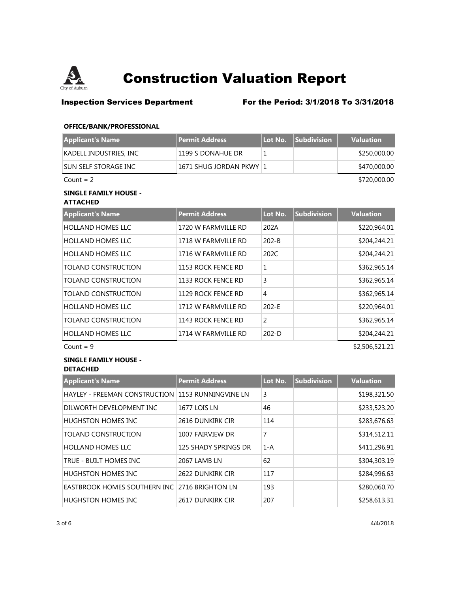

### **Inspection Services Department** For the Period: 3/1/2018 To 3/31/2018

#### **OFFICE/BANK/PROFESSIONAL**

| <b>Applicant's Name</b> | <b>Permit Address</b>   | Lot No. | <b>Subdivision</b> | <b>Valuation</b> |
|-------------------------|-------------------------|---------|--------------------|------------------|
| KADELL INDUSTRIES, INC  | 1199 S DONAHUE DR       |         |                    | \$250,000.00     |
| SUN SELF STORAGE INC    | 1671 SHUG JORDAN PKWY 1 |         |                    | \$470,000.00     |
| Count = $2$             |                         |         |                    | \$720,000.00     |
| CINICI E EAMILY HOLICE  |                         |         |                    |                  |

#### **SINGLE FAMILY HOUSE - ATTACHED**

| Applicant's Name           | <b>Permit Address</b> | Lot No.   | <b>Subdivision</b> | <b>Valuation</b> |
|----------------------------|-----------------------|-----------|--------------------|------------------|
| <b>HOLLAND HOMES LLC</b>   | 1720 W FARMVILLE RD   | 202A      |                    | \$220,964.01     |
| <b>HOLLAND HOMES LLC</b>   | 1718 W FARMVILLE RD   | $202 - B$ |                    | \$204,244.21     |
| HOLLAND HOMES LLC          | 1716 W FARMVILLE RD   | 202C      |                    | \$204,244.21     |
| TOLAND CONSTRUCTION        | 1153 ROCK FENCE RD    | 1         |                    | \$362,965.14     |
| <b>TOLAND CONSTRUCTION</b> | 1133 ROCK FENCE RD    | 3         |                    | \$362,965.14     |
| <b>TOLAND CONSTRUCTION</b> | 1129 ROCK FENCE RD    | 4         |                    | \$362,965.14     |
| <b>HOLLAND HOMES LLC</b>   | 1712 W FARMVILLE RD   | $202 - E$ |                    | \$220,964.01     |
| <b>TOLAND CONSTRUCTION</b> | 1143 ROCK FENCE RD    | 2         |                    | \$362,965.14     |
| <b>HOLLAND HOMES LLC</b>   | 1714 W FARMVILLE RD   | $202-D$   |                    | \$204,244.21     |

 $Count = 9$  \$2,506,521.21

#### **SINGLE FAMILY HOUSE - DETACHED**

**Applicant's Name Permit Address Lot No. Subdivision Valuation** HAYLEY - FREEMAN CONSTRUCTION 1153 RUNNINGVINE LN 3 \$198,321.50 DILWORTH DEVELOPMENT INC 1677 LOIS LN 46 46 \$233,523.20 HUGHSTON HOMES INC 2616 DUNKIRK CIR 114 | \$283,676.63 TOLAND CONSTRUCTION 1007 FAIRVIEW DR 7 7 \$314,512.11 HOLLAND HOMES LLC 125 SHADY SPRINGS DR 1-A \$411,296.91 TRUE - BUILT HOMES INC 2067 LAMB LN 62 \$304,303.19 HUGHSTON HOMES INC 2622 DUNKIRK CIR 117 | \$284,996.63 EASTBROOK HOMES SOUTHERN INC 2716 BRIGHTON LN 193 3 \$280,060.70 HUGHSTON HOMES INC 2617 DUNKIRK CIR 207 | \$258,613.31

3 of 6 4/4/2018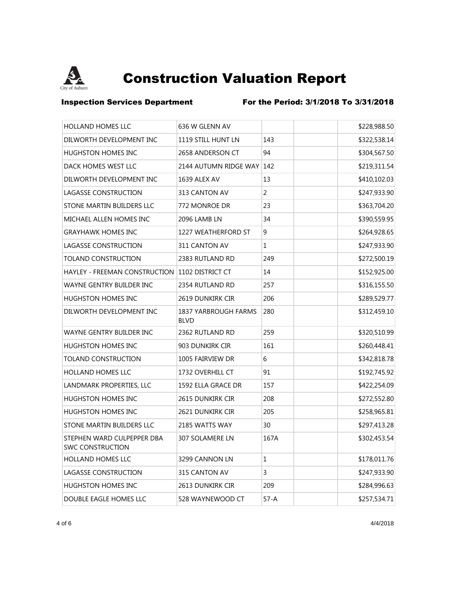

**Inspection Services Department** For the Period: 3/1/2018 To 3/31/2018

| <b>HOLLAND HOMES LLC</b>                              | 636 W GLENN AV                             |          | \$228,988.50 |
|-------------------------------------------------------|--------------------------------------------|----------|--------------|
| DILWORTH DEVELOPMENT INC                              | 1119 STILL HUNT LN                         | 143      | \$322,538.14 |
| HUGHSTON HOMES INC                                    | 2658 ANDERSON CT                           | 94       | \$304,567.50 |
| DACK HOMES WEST LLC                                   | 2144 AUTUMN RIDGE WAY                      | 142      | \$219,311.54 |
| DILWORTH DEVELOPMENT INC                              | 1639 ALEX AV                               | 13       | \$410,102.03 |
| LAGASSE CONSTRUCTION                                  | 313 CANTON AV                              | 2        | \$247,933.90 |
| STONE MARTIN BUILDERS LLC                             | 772 MONROE DR                              | 23       | \$363,704.20 |
| MICHAEL ALLEN HOMES INC                               | 2096 LAMB LN                               | 34       | \$390,559.95 |
| <b>GRAYHAWK HOMES INC</b>                             | 1227 WEATHERFORD ST                        | 9        | \$264,928.65 |
| <b>LAGASSE CONSTRUCTION</b>                           | 311 CANTON AV                              | 1        | \$247,933.90 |
| <b>TOLAND CONSTRUCTION</b>                            | 2383 RUTLAND RD                            | 249      | \$272,500.19 |
| HAYLEY - FREEMAN CONSTRUCTION 1102 DISTRICT CT        |                                            | 14       | \$152,925.00 |
| WAYNE GENTRY BUILDER INC                              | 2354 RUTLAND RD                            | 257      | \$316,155.50 |
| <b>HUGHSTON HOMES INC</b>                             | 2619 DUNKIRK CIR                           | 206      | \$289,529.77 |
| DILWORTH DEVELOPMENT INC                              | <b>1837 YARBROUGH FARMS</b><br><b>BLVD</b> | 280      | \$312,459.10 |
| WAYNE GENTRY BUILDER INC                              | 2362 RUTLAND RD                            | 259      | \$320,510.99 |
| HUGHSTON HOMES INC                                    | 903 DUNKIRK CIR                            | 161      | \$260,448.41 |
| <b>TOLAND CONSTRUCTION</b>                            | 1005 FAIRVIEW DR                           | 6        | \$342,818.78 |
| <b>HOLLAND HOMES LLC</b>                              | 1732 OVERHILL CT                           | 91       | \$192,745.92 |
| LANDMARK PROPERTIES, LLC                              | 1592 ELLA GRACE DR                         | 157      | \$422,254.09 |
| HUGHSTON HOMES INC                                    | 2615 DUNKIRK CIR                           | 208      | \$272,552.80 |
| <b>HUGHSTON HOMES INC</b>                             | 2621 DUNKIRK CIR                           | 205      | \$258,965.81 |
| STONE MARTIN BUILDERS LLC                             | 2185 WATTS WAY                             | 30       | \$297,413.28 |
| STEPHEN WARD CULPEPPER DBA<br><b>SWC CONSTRUCTION</b> | <b>307 SOLAMERE LN</b>                     | 167A     | \$302,453.54 |
| <b>HOLLAND HOMES LLC</b>                              | 3299 CANNON LN                             | 1        | \$178,011.76 |
| LAGASSE CONSTRUCTION                                  | 315 CANTON AV                              | 3        | \$247,933.90 |
| HUGHSTON HOMES INC                                    | 2613 DUNKIRK CIR                           | 209      | \$284,996.63 |
| DOUBLE EAGLE HOMES LLC                                | 528 WAYNEWOOD CT                           | $57 - A$ | \$257,534.71 |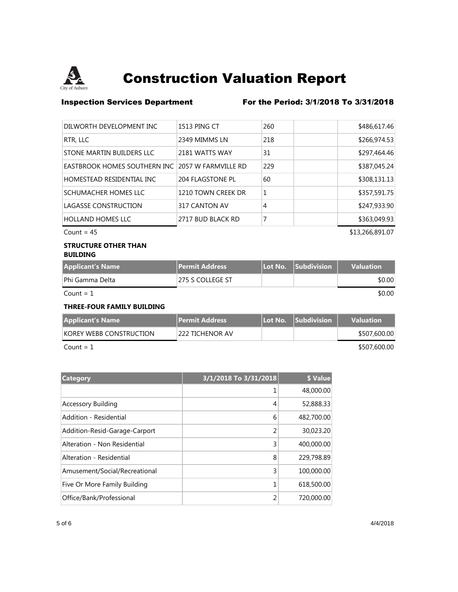

### **Inspection Services Department** For the Period: 3/1/2018 To 3/31/2018

| 1513 PING CT                                      | 260 | \$486,617.46 |
|---------------------------------------------------|-----|--------------|
| 2349 MIMMS LN                                     | 218 | \$266,974.53 |
| 2181 WATTS WAY                                    | 31  | \$297,464.46 |
| EASTBROOK HOMES SOUTHERN INC 12057 W FARMVILLE RD | 229 | \$387,045.24 |
| 204 FLAGSTONE PL                                  | 60  | \$308,131.13 |
| 1210 TOWN CREEK DR                                | 1   | \$357,591.75 |
| 317 CANTON AV                                     | 4   | \$247,933.90 |
| 2717 BUD BLACK RD                                 | 7   | \$363,049.93 |
|                                                   |     |              |

 $Count = 45$  \$13,266,891.07

#### **STRUCTURE OTHER THAN BUILDING**

| <b>Applicant's Name</b> | <b>Permit Address</b> | Lot No. Subdivision | <b>Valuation</b> |
|-------------------------|-----------------------|---------------------|------------------|
| Phi Gamma Delta         | 1275 S COLLEGE ST     |                     | \$0.00           |
| $Count = 1$             |                       |                     | \$0.00           |

**THREE-FOUR FAMILY BUILDING**

| Applicant's Name        | <b>Permit Address</b> | Il Lot No. Subdivision | <b>Valuation</b> |
|-------------------------|-----------------------|------------------------|------------------|
| KOREY WEBB CONSTRUCTION | 222 TICHENOR AV       |                        | \$507,600.00     |
| $Count = 1$             |                       |                        | \$507,600.00     |

| Category                      | 3/1/2018 To 3/31/2018 | <b>\$ Value</b> |
|-------------------------------|-----------------------|-----------------|
|                               |                       | 48,000.00       |
| <b>Accessory Building</b>     | 4                     | 52,888.33       |
| Addition - Residential        | 6                     | 482,700.00      |
| Addition-Resid-Garage-Carport | 2                     | 30,023.20       |
| Alteration - Non Residential  | 3                     | 400,000.00      |
| Alteration - Residential      | 8                     | 229,798.89      |
| Amusement/Social/Recreational | 3                     | 100,000.00      |
| Five Or More Family Building  | 1                     | 618,500.00      |
| Office/Bank/Professional      | 2                     | 720,000.00      |